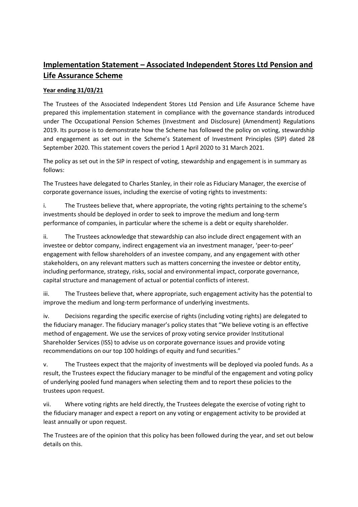# **Implementation Statement – Associated Independent Stores Ltd Pension and Life Assurance Scheme**

## **Year ending 31/03/21**

The Trustees of the Associated Independent Stores Ltd Pension and Life Assurance Scheme have prepared this implementation statement in compliance with the governance standards introduced under The Occupational Pension Schemes (Investment and Disclosure) (Amendment) Regulations 2019. Its purpose is to demonstrate how the Scheme has followed the policy on voting, stewardship and engagement as set out in the Scheme's Statement of Investment Principles (SIP) dated 28 September 2020. This statement covers the period 1 April 2020 to 31 March 2021.

The policy as set out in the SIP in respect of voting, stewardship and engagement is in summary as follows:

The Trustees have delegated to Charles Stanley, in their role as Fiduciary Manager, the exercise of corporate governance issues, including the exercise of voting rights to investments:

i. The Trustees believe that, where appropriate, the voting rights pertaining to the scheme's investments should be deployed in order to seek to improve the medium and long-term performance of companies, in particular where the scheme is a debt or equity shareholder.

ii. The Trustees acknowledge that stewardship can also include direct engagement with an investee or debtor company, indirect engagement via an investment manager, 'peer-to-peer' engagement with fellow shareholders of an investee company, and any engagement with other stakeholders, on any relevant matters such as matters concerning the investee or debtor entity, including performance, strategy, risks, social and environmental impact, corporate governance, capital structure and management of actual or potential conflicts of interest.

iii. The Trustees believe that, where appropriate, such engagement activity has the potential to improve the medium and long-term performance of underlying investments.

iv. Decisions regarding the specific exercise of rights (including voting rights) are delegated to the fiduciary manager. The fiduciary manager's policy states that "We believe voting is an effective method of engagement. We use the services of proxy voting service provider Institutional Shareholder Services (ISS) to advise us on corporate governance issues and provide voting recommendations on our top 100 holdings of equity and fund securities."

v. The Trustees expect that the majority of investments will be deployed via pooled funds. As a result, the Trustees expect the fiduciary manager to be mindful of the engagement and voting policy of underlying pooled fund managers when selecting them and to report these policies to the trustees upon request.

vii. Where voting rights are held directly, the Trustees delegate the exercise of voting right to the fiduciary manager and expect a report on any voting or engagement activity to be provided at least annually or upon request.

The Trustees are of the opinion that this policy has been followed during the year, and set out below details on this.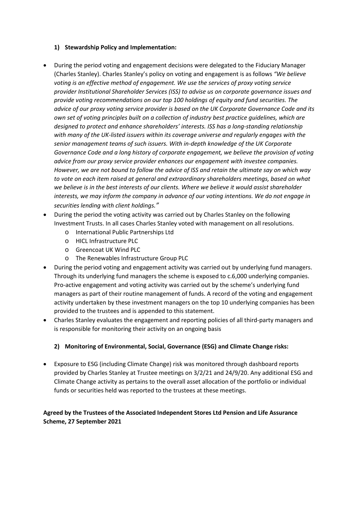## **1) Stewardship Policy and Implementation:**

- During the period voting and engagement decisions were delegated to the Fiduciary Manager (Charles Stanley). Charles Stanley's policy on voting and engagement is as follows *"We believe voting is an effective method of engagement. We use the services of proxy voting service provider Institutional Shareholder Services (ISS) to advise us on corporate governance issues and provide voting recommendations on our top 100 holdings of equity and fund securities. The advice of our proxy voting service provider is based on the UK Corporate Governance Code and its own set of voting principles built on a collection of industry best practice guidelines, which are designed to protect and enhance shareholders' interests. ISS has a long-standing relationship with many of the UK-listed issuers within its coverage universe and regularly engages with the senior management teams of such issuers. With in-depth knowledge of the UK Corporate Governance Code and a long history of corporate engagement, we believe the provision of voting advice from our proxy service provider enhances our engagement with investee companies. However, we are not bound to follow the advice of ISS and retain the ultimate say on which way to vote on each item raised at general and extraordinary shareholders meetings, based on what we believe is in the best interests of our clients. Where we believe it would assist shareholder interests, we may inform the company in advance of our voting intentions. We do not engage in securities lending with client holdings."*
- During the period the voting activity was carried out by Charles Stanley on the following Investment Trusts. In all cases Charles Stanley voted with management on all resolutions.
	- o International Public Partnerships Ltd
	- o HICL Infrastructure PLC
	- o Greencoat UK Wind PLC
	- o The Renewables Infrastructure Group PLC
- During the period voting and engagement activity was carried out by underlying fund managers. Through its underlying fund managers the scheme is exposed to c.6,000 underlying companies. Pro-active engagement and voting activity was carried out by the scheme's underlying fund managers as part of their routine management of funds. A record of the voting and engagement activity undertaken by these investment managers on the top 10 underlying companies has been provided to the trustees and is appended to this statement.
- Charles Stanley evaluates the engagement and reporting policies of all third-party managers and is responsible for monitoring their activity on an ongoing basis

## **2) Monitoring of Environmental, Social, Governance (ESG) and Climate Change risks:**

• Exposure to ESG (including Climate Change) risk was monitored through dashboard reports provided by Charles Stanley at Trustee meetings on 3/2/21 and 24/9/20. Any additional ESG and Climate Change activity as pertains to the overall asset allocation of the portfolio or individual funds or securities held was reported to the trustees at these meetings.

## **Agreed by the Trustees of the Associated Independent Stores Ltd Pension and Life Assurance Scheme, 27 September 2021**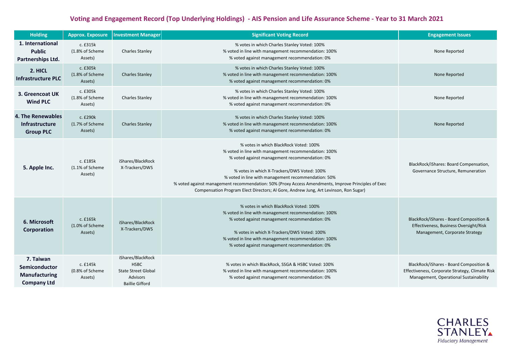# **Voting and Engagement Record (Top Underlying Holdings) - AIS Pension and Life Assurance Scheme - Year to 31 March 2021**

| <b>Holding</b>                                                           | <b>Approx. Exposure</b>                 | <b>Investment Manager</b>                                                                                   | <b>Significant Voting Record</b>                                                                                                                                                                                                                                                                                                                                                                                                                     | <b>Engagement Issues</b>                                                                                                             |
|--------------------------------------------------------------------------|-----------------------------------------|-------------------------------------------------------------------------------------------------------------|------------------------------------------------------------------------------------------------------------------------------------------------------------------------------------------------------------------------------------------------------------------------------------------------------------------------------------------------------------------------------------------------------------------------------------------------------|--------------------------------------------------------------------------------------------------------------------------------------|
| 1. International<br><b>Public</b><br>Partnerships Ltd.                   | c. £315k<br>(1.8% of Scheme<br>Assets)  | <b>Charles Stanley</b>                                                                                      | % votes in which Charles Stanley Voted: 100%<br>% voted in line with management recommendation: 100%<br>% voted against management recommendation: 0%                                                                                                                                                                                                                                                                                                | None Reported                                                                                                                        |
| 2. HICL<br><b>Infrastructure PLC</b>                                     | c. £305k<br>(1.8% of Scheme<br>Assets)  | <b>Charles Stanley</b>                                                                                      | % votes in which Charles Stanley Voted: 100%<br>% voted in line with management recommendation: 100%<br>% voted against management recommendation: 0%                                                                                                                                                                                                                                                                                                | None Reported                                                                                                                        |
| 3. Greencoat UK<br><b>Wind PLC</b>                                       | c. £305k<br>(1.8% of Scheme<br>Assets)  | <b>Charles Stanley</b>                                                                                      | % votes in which Charles Stanley Voted: 100%<br>% voted in line with management recommendation: 100%<br>% voted against management recommendation: 0%                                                                                                                                                                                                                                                                                                | None Reported                                                                                                                        |
| 4. The Renewables<br><b>Infrastructure</b><br><b>Group PLC</b>           | c. £290k<br>(1.7% of Scheme<br>Assets)  | <b>Charles Stanley</b>                                                                                      | % votes in which Charles Stanley Voted: 100%<br>% voted in line with management recommendation: 100%<br>% voted against management recommendation: 0%                                                                                                                                                                                                                                                                                                | None Reported                                                                                                                        |
| 5. Apple Inc.                                                            | c. £185k<br>(1.1% of Scheme)<br>Assets) | iShares/BlackRock<br>X-Trackers/DWS                                                                         | % votes in which BlackRock Voted: 100%<br>% voted in line with management recommendation: 100%<br>% voted against management recommendation: 0%<br>% votes in which X-Trackers/DWS Voted: 100%<br>% voted in line with management recommendation: 50%<br>% voted against management recommendation: 50% (Proxy Access Amendments, Improve Principles of Exec<br>Compensation Program Elect Directors; Al Gore, Andrew Jung, Art Levinson, Ron Sugar) | BlackRock/iShares: Board Compensation,<br>Governance Structure, Remuneration                                                         |
| 6. Microsoft<br>Corporation                                              | c. £165k<br>(1.0% of Scheme<br>Assets)  | iShares/BlackRock<br>X-Trackers/DWS                                                                         | % votes in which BlackRock Voted: 100%<br>% voted in line with management recommendation: 100%<br>% voted against management recommendation: 0%<br>% votes in which X-Trackers/DWS Voted: 100%<br>% voted in line with management recommendation: 100%<br>% voted against management recommendation: 0%                                                                                                                                              | BlackRock/iShares - Board Composition &<br>Effectiveness, Business Oversight/Risk<br>Management, Corporate Strategy                  |
| 7. Taiwan<br>Semiconductor<br><b>Manufacturing</b><br><b>Company Ltd</b> | c. £145k<br>(0.8% of Scheme<br>Assets)  | iShares/BlackRock<br><b>HSBC</b><br><b>State Street Global</b><br><b>Advisors</b><br><b>Baillie Gifford</b> | % votes in which BlackRock, SSGA & HSBC Voted: 100%<br>% voted in line with management recommendation: 100%<br>% voted against management recommendation: 0%                                                                                                                                                                                                                                                                                         | BlackRock/iShares - Board Composition &<br>Effectiveness, Corporate Strategy, Climate Risk<br>Management, Operational Sustainability |

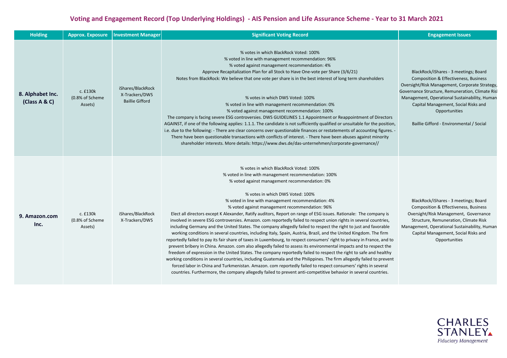# **Voting and Engagement Record (Top Underlying Holdings) - AIS Pension and Life Assurance Scheme - Year to 31 March 2021**

| <b>Holding</b>                    | <b>Approx. Exposure</b>                | <b>Investment Manager</b>                                     | <b>Significant Voting Record</b>                                                                                                                                                                                                                                                                                                                                                                                                                                                                                                                                                                                                                                                                                                                                                                                                                                                                                                                                                                                                                                                                                                                                                                                                                                                                                                                                                                                                                                                                                      | <b>Engagement Issues</b>                                                                                                                                                                                                                                                                                                                              |
|-----------------------------------|----------------------------------------|---------------------------------------------------------------|-----------------------------------------------------------------------------------------------------------------------------------------------------------------------------------------------------------------------------------------------------------------------------------------------------------------------------------------------------------------------------------------------------------------------------------------------------------------------------------------------------------------------------------------------------------------------------------------------------------------------------------------------------------------------------------------------------------------------------------------------------------------------------------------------------------------------------------------------------------------------------------------------------------------------------------------------------------------------------------------------------------------------------------------------------------------------------------------------------------------------------------------------------------------------------------------------------------------------------------------------------------------------------------------------------------------------------------------------------------------------------------------------------------------------------------------------------------------------------------------------------------------------|-------------------------------------------------------------------------------------------------------------------------------------------------------------------------------------------------------------------------------------------------------------------------------------------------------------------------------------------------------|
| 8. Alphabet Inc.<br>(Class A & C) | c. £130k<br>(0.8% of Scheme<br>Assets) | iShares/BlackRock<br>X-Trackers/DWS<br><b>Baillie Gifford</b> | % votes in which BlackRock Voted: 100%<br>% voted in line with management recommendation: 96%<br>% voted against management recommendation: 4%<br>Approve Recapitalization Plan for all Stock to Have One-vote per Share (3/6/21)<br>Notes from BlackRock: We believe that one vote per share is in the best interest of long term shareholders<br>% votes in which DWS Voted: 100%<br>% voted in line with management recommendation: 0%<br>% voted against management recommendation: 100%<br>The company is facing severe ESG controversies. DWS GUIDELINES 1.1 Appointment or Reappointment of Directors<br>AGAINST, if one of the following applies: 1.1.1. The candidate is not sufficiently qualified or unsuitable for the position,<br>i.e. due to the following: - There are clear concerns over questionable finances or restatements of accounting figures. -<br>There have been questionable transactions with conflicts of interest. - There have been abuses against minority<br>shareholder interests. More details: https://www.dws.de/das-unternehmen/corporate-governance//                                                                                                                                                                                                                                                                                                                                                                                                                        | BlackRock/iShares - 3 meetings; Board<br><b>Composition &amp; Effectiveness, Business</b><br>Oversight/Risk Management, Corporate Strategy,<br>Governance Structure, Remuneration, Climate Risl<br>Management, Operational Sustainability, Human<br>Capital Management, Social Risks and<br>Opportunities<br>Baillie Gifford - Environmental / Social |
| 9. Amazon.com<br>Inc.             | c. £130k<br>(0.8% of Scheme<br>Assets) | iShares/BlackRock<br>X-Trackers/DWS                           | % votes in which BlackRock Voted: 100%<br>% voted in line with management recommendation: 100%<br>% voted against management recommendation: 0%<br>% votes in which DWS Voted: 100%<br>% voted in line with management recommendation: 4%<br>% voted against management recommendation: 96%<br>Elect all directors except K Alexander, Ratify auditors, Report on range of ESG issues. Rationale: The company is<br>involved in severe ESG controversies. Amazon. com reportedly failed to respect union rights in several countries,<br>including Germany and the United States. The company allegedly failed to respect the right to just and favorable<br>working conditions in several countries, including Italy, Spain, Austria, Brazil, and the United Kingdom. The firm<br>reportedly failed to pay its fair share of taxes in Luxembourg, to respect consumers' right to privacy in France, and to<br>prevent bribery in China. Amazon. com also allegedly failed to assess its environmental impacts and to respect the<br>freedom of expression in the United States. The company reportedly failed to respect the right to safe and healthy<br>working conditions in several countries, including Guatemala and the Philippines. The firm allegedly failed to prevent<br>forced labor in China and Turkmenistan. Amazon. com reportedly failed to respect consumers' rights in several<br>countries. Furthermore, the company allegedly failed to prevent anti-competitive behavior in several countries. | BlackRock/iShares - 3 meetings; Board<br>Composition & Effectiveness, Business<br>Oversight/Risk Management, Governance<br>Structure, Remuneration, Climate Risk<br>Management, Operational Sustainability, Human<br>Capital Management, Social Risks and<br>Opportunities                                                                            |